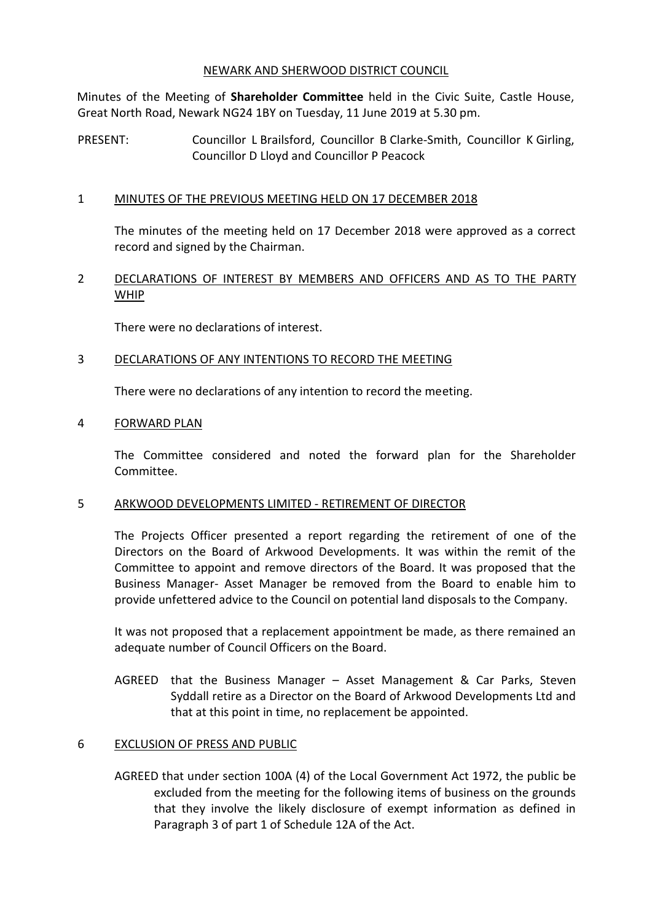#### NEWARK AND SHERWOOD DISTRICT COUNCIL

Minutes of the Meeting of **Shareholder Committee** held in the Civic Suite, Castle House, Great North Road, Newark NG24 1BY on Tuesday, 11 June 2019 at 5.30 pm.

PRESENT: Councillor L Brailsford, Councillor B Clarke-Smith, Councillor K Girling, Councillor D Lloyd and Councillor P Peacock

## 1 MINUTES OF THE PREVIOUS MEETING HELD ON 17 DECEMBER 2018

The minutes of the meeting held on 17 December 2018 were approved as a correct record and signed by the Chairman.

# 2 DECLARATIONS OF INTEREST BY MEMBERS AND OFFICERS AND AS TO THE PARTY WHIP

There were no declarations of interest.

## 3 DECLARATIONS OF ANY INTENTIONS TO RECORD THE MEETING

There were no declarations of any intention to record the meeting.

## 4 FORWARD PLAN

The Committee considered and noted the forward plan for the Shareholder Committee.

## 5 ARKWOOD DEVELOPMENTS LIMITED - RETIREMENT OF DIRECTOR

The Projects Officer presented a report regarding the retirement of one of the Directors on the Board of Arkwood Developments. It was within the remit of the Committee to appoint and remove directors of the Board. It was proposed that the Business Manager- Asset Manager be removed from the Board to enable him to provide unfettered advice to the Council on potential land disposals to the Company.

It was not proposed that a replacement appointment be made, as there remained an adequate number of Council Officers on the Board.

AGREED that the Business Manager – Asset Management & Car Parks, Steven Syddall retire as a Director on the Board of Arkwood Developments Ltd and that at this point in time, no replacement be appointed.

## 6 EXCLUSION OF PRESS AND PUBLIC

AGREED that under section 100A (4) of the Local Government Act 1972, the public be excluded from the meeting for the following items of business on the grounds that they involve the likely disclosure of exempt information as defined in Paragraph 3 of part 1 of Schedule 12A of the Act.